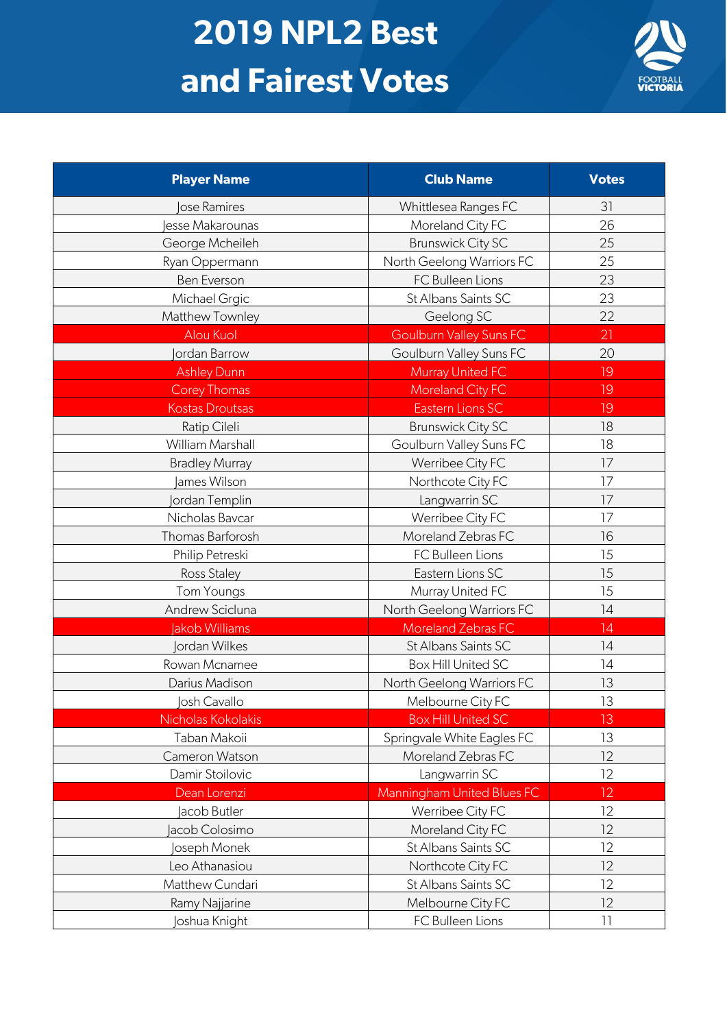## **2019 NPL2 Best and Fairest Votes**



| <b>Player Name</b>     | <b>Club Name</b>               | <b>Votes</b> |
|------------------------|--------------------------------|--------------|
| lose Ramires           | Whittlesea Ranges FC           | 31           |
| esse Makarounas        | Moreland City FC               | 26           |
| George Mcheileh        | <b>Brunswick City SC</b>       | 25           |
| Ryan Oppermann         | North Geelong Warriors FC      | 25           |
| Ben Everson            | FC Bulleen Lions               | 23           |
| Michael Grgic          | St Albans Saints SC            | 23           |
| Matthew Townley        | Geelong SC                     | 22           |
| Alou Kuol              | <b>Goulburn Valley Suns FC</b> | 21           |
| <b>Jordan Barrow</b>   | Goulburn Valley Suns FC        | 20           |
| <b>Ashley Dunn</b>     | Murray United FC               | 19           |
| <b>Corey Thomas</b>    | Moreland City FC               | 19           |
| <b>Kostas Droutsas</b> | Eastern Lions SC               | 19           |
| Ratip Cileli           | <b>Brunswick City SC</b>       | 18           |
| William Marshall       | Goulburn Valley Suns FC        | 18           |
| <b>Bradley Murray</b>  | Werribee City FC               | 17           |
| James Wilson           | Northcote City FC              | 17           |
| <b>Jordan Templin</b>  | Langwarrin SC                  | 17           |
| Nicholas Bavcar        | Werribee City FC               | 17           |
| Thomas Barforosh       | Moreland Zebras FC             | 16           |
| Philip Petreski        | FC Bulleen Lions               | 15           |
| Ross Staley            | Eastern Lions SC               | 15           |
| <b>Tom Youngs</b>      | Murray United FC               | 15           |
| Andrew Scicluna        | North Geelong Warriors FC      | 14           |
| Jakob Williams         | Moreland Zebras FC             | 14           |
| <b>Jordan Wilkes</b>   | St Albans Saints SC            | 14           |
| Rowan Mcnamee          | Box Hill United SC             | 14           |
| Darius Madison         | North Geelong Warriors FC      | 13           |
| Josh Cavallo           | Melbourne City FC              | 13           |
| Nicholas Kokolakis     | <b>Box Hill United SC</b>      | 13           |
| Taban Makoii           | Springvale White Eagles FC     | 13           |
| Cameron Watson         | Moreland Zebras FC             | 12           |
| Damir Stoilovic        | Langwarrin SC                  | 12           |
| Dean Lorenzi           | Manningham United Blues FC     | 12           |
| Jacob Butler           | Werribee City FC               | 12           |
| Jacob Colosimo         | Moreland City FC               | 12           |
| <b>Oseph Monek</b>     | St Albans Saints SC            | 12           |
| Leo Athanasiou         | Northcote City FC              | 12           |
| Matthew Cundari        | St Albans Saints SC            | 12           |
| Ramy Najjarine         | Melbourne City FC              | 12           |
| Joshua Knight          | FC Bulleen Lions               | 11           |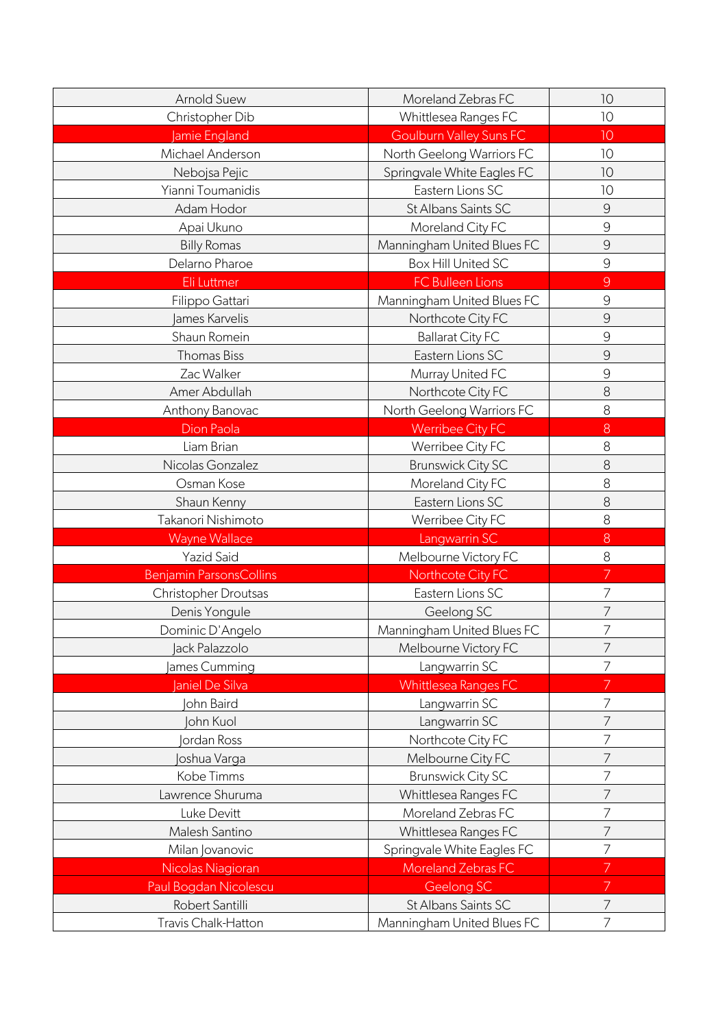| <b>Arnold Suew</b>             | Moreland Zebras FC             | 10             |
|--------------------------------|--------------------------------|----------------|
| Christopher Dib                | Whittlesea Ranges FC           | 10             |
| Jamie England                  | <b>Goulburn Valley Suns FC</b> | 10             |
| Michael Anderson               | North Geelong Warriors FC      | 10             |
| Nebojsa Pejic                  | Springvale White Eagles FC     | 10             |
| Yianni Toumanidis              | Eastern Lions SC               | 10             |
| Adam Hodor                     | St Albans Saints SC            | 9              |
| Apai Ukuno                     | Moreland City FC               | 9              |
| <b>Billy Romas</b>             | Manningham United Blues FC     | 9              |
| Delarno Pharoe                 | Box Hill United SC             | 9              |
| Eli Luttmer                    | <b>FC Bulleen Lions</b>        | $\overline{9}$ |
| Filippo Gattari                | Manningham United Blues FC     | $\overline{9}$ |
| James Karvelis                 | Northcote City FC              | $\mathcal{G}$  |
| Shaun Romein                   | <b>Ballarat City FC</b>        | 9              |
| <b>Thomas Biss</b>             | Eastern Lions SC               | 9              |
| Zac Walker                     | Murray United FC               | 9              |
| Amer Abdullah                  | Northcote City FC              | 8              |
| Anthony Banovac                | North Geelong Warriors FC      | 8              |
| <b>Dion Paola</b>              | <b>Werribee City FC</b>        | 8              |
| Liam Brian                     | Werribee City FC               | 8              |
| Nicolas Gonzalez               | <b>Brunswick City SC</b>       | 8              |
| Osman Kose                     | Moreland City FC               | 8              |
| Shaun Kenny                    | Eastern Lions SC               | 8              |
| Takanori Nishimoto             | Werribee City FC               | 8              |
| <b>Wayne Wallace</b>           | Langwarrin SC                  | 8              |
| <b>Yazid Said</b>              | Melbourne Victory FC           | 8              |
| <b>Benjamin ParsonsCollins</b> | Northcote City FC              | 7              |
| Christopher Droutsas           | Eastern Lions SC               | 7              |
| Denis Yongule                  | Geelong SC                     | 7              |
| Dominic D'Angelo               | Manningham United Blues FC     | 7              |
| Jack Palazzolo                 | Melbourne Victory FC           | 7              |
| ames Cumming                   | Langwarrin SC                  | 7              |
| <b>Janiel De Silva</b>         | <b>Whittlesea Ranges FC</b>    |                |
| John Baird                     | Langwarrin SC                  | 7              |
| John Kuol                      | Langwarrin SC                  | 7              |
| ordan Ross                     | Northcote City FC              | 7              |
| loshua Varga                   | Melbourne City FC              | 7              |
| Kobe Timms                     | <b>Brunswick City SC</b>       | 7              |
| Lawrence Shuruma               | Whittlesea Ranges FC           | 7              |
| Luke Devitt                    | Moreland Zebras FC             | 7              |
| Malesh Santino                 | Whittlesea Ranges FC           | 7              |
| Milan Jovanovic                | Springvale White Eagles FC     | 7              |
| Nicolas Niagioran              | <b>Moreland Zebras FC</b>      | 7              |
| Paul Bogdan Nicolescu          | Geelong SC                     | 7              |
| Robert Santilli                | St Albans Saints SC            | 7              |
| Travis Chalk-Hatton            | Manningham United Blues FC     | 7              |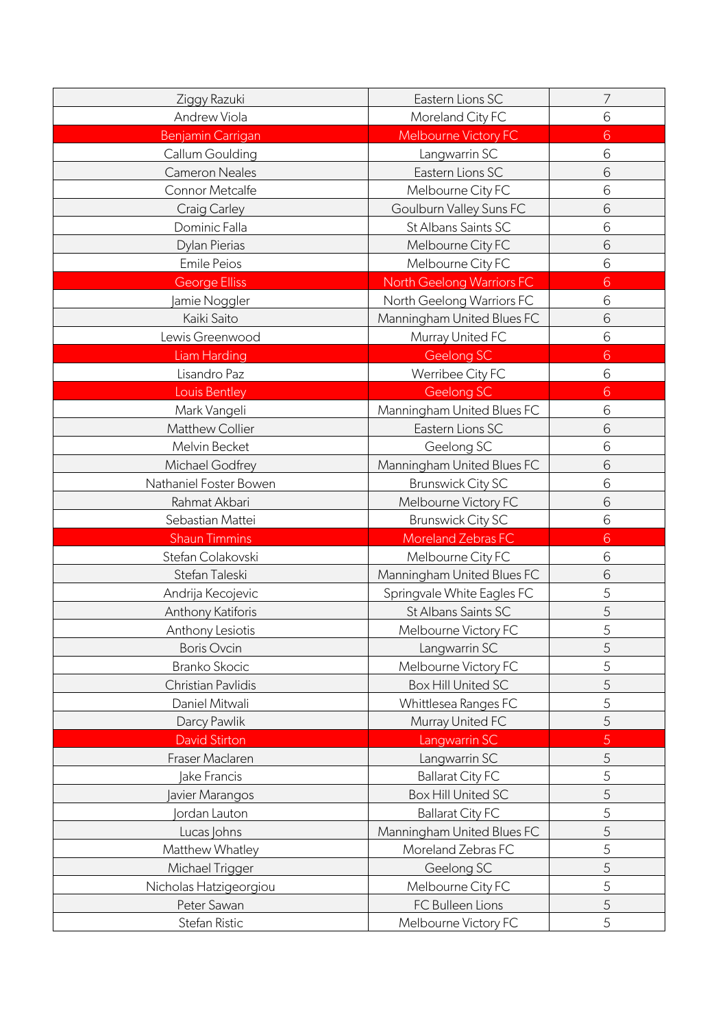| Ziggy Razuki           | Eastern Lions SC                 | 7 |
|------------------------|----------------------------------|---|
| Andrew Viola           | Moreland City FC                 | 6 |
| Benjamin Carrigan      | Melbourne Victory FC             | 6 |
| Callum Goulding        | Langwarrin SC                    | 6 |
| <b>Cameron Neales</b>  | Eastern Lions SC                 | 6 |
| Connor Metcalfe        | Melbourne City FC                | 6 |
| <b>Craig Carley</b>    | Goulburn Valley Suns FC          | 6 |
| Dominic Falla          | St Albans Saints SC              | 6 |
| Dylan Pierias          | Melbourne City FC                | 6 |
| <b>Emile Peios</b>     | Melbourne City FC                | 6 |
| <b>George Elliss</b>   | <b>North Geelong Warriors FC</b> | 6 |
| amie Noggler           | North Geelong Warriors FC        | 6 |
| Kaiki Saito            | Manningham United Blues FC       | 6 |
| Lewis Greenwood        | Murray United FC                 | 6 |
| Liam Harding           | Geelong SC                       | 6 |
| Lisandro Paz           | Werribee City FC                 | 6 |
| Louis Bentley          | Geelong SC                       | 6 |
| Mark Vangeli           | Manningham United Blues FC       | 6 |
| Matthew Collier        | Eastern Lions SC                 | 6 |
| Melvin Becket          | Geelong SC                       | 6 |
| Michael Godfrey        | Manningham United Blues FC       | 6 |
| Nathaniel Foster Bowen | <b>Brunswick City SC</b>         | 6 |
| Rahmat Akbari          | Melbourne Victory FC             | 6 |
| Sebastian Mattei       | <b>Brunswick City SC</b>         | 6 |
| <b>Shaun Timmins</b>   | Moreland Zebras FC               | 6 |
| Stefan Colakovski      | Melbourne City FC                | 6 |
| Stefan Taleski         | Manningham United Blues FC       | 6 |
| Andrija Kecojevic      | Springvale White Eagles FC       | 5 |
| Anthony Katiforis      | St Albans Saints SC              | 5 |
| Anthony Lesiotis       | Melbourne Victory FC             | 5 |
| <b>Boris Ovcin</b>     | Langwarrin SC                    | 5 |
| <b>Branko Skocic</b>   | Melbourne Victory FC             | 5 |
| Christian Pavlidis     | Box Hill United SC               | 5 |
| Daniel Mitwali         | Whittlesea Ranges FC             | 5 |
| Darcy Pawlik           | Murray United FC                 | 5 |
| <b>David Stirton</b>   | Langwarrin SC                    | 5 |
| Fraser Maclaren        | Langwarrin SC                    | 5 |
| lake Francis           | <b>Ballarat City FC</b>          | 5 |
| avier Marangos         | <b>Box Hill United SC</b>        | 5 |
| ordan Lauton           | <b>Ballarat City FC</b>          | 5 |
| Lucas Johns            | Manningham United Blues FC       | 5 |
| Matthew Whatley        | Moreland Zebras FC               | 5 |
| Michael Trigger        | Geelong SC                       | 5 |
| Nicholas Hatzigeorgiou | Melbourne City FC                | 5 |
| Peter Sawan            | FC Bulleen Lions                 | 5 |
| Stefan Ristic          | Melbourne Victory FC             | 5 |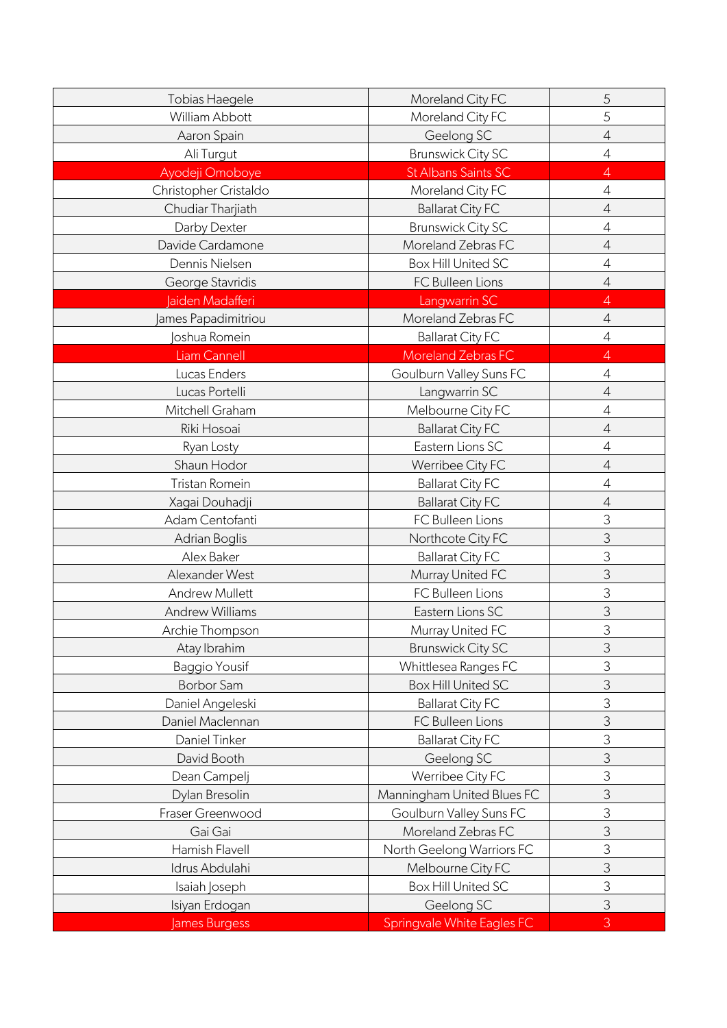| Tobias Haegele         | Moreland City FC           | 5              |
|------------------------|----------------------------|----------------|
| William Abbott         | Moreland City FC           | 5              |
| Aaron Spain            | Geelong SC                 | $\overline{4}$ |
| Ali Turgut             | <b>Brunswick City SC</b>   | $\overline{4}$ |
| Ayodeji Omoboye        | St Albans Saints SC        | $\overline{4}$ |
| Christopher Cristaldo  | Moreland City FC           | $\overline{4}$ |
| Chudiar Tharjiath      | <b>Ballarat City FC</b>    | $\sqrt{4}$     |
| Darby Dexter           | <b>Brunswick City SC</b>   | $\overline{4}$ |
| Davide Cardamone       | Moreland Zebras FC         | $\sqrt{4}$     |
| Dennis Nielsen         | <b>Box Hill United SC</b>  | $\overline{4}$ |
| George Stavridis       | FC Bulleen Lions           | $\overline{4}$ |
| Jaiden Madafferi       | Langwarrin SC              | $\overline{4}$ |
| ames Papadimitriou     | Moreland Zebras FC         | $\sqrt{4}$     |
| oshua Romein           | <b>Ballarat City FC</b>    | $\overline{4}$ |
| Liam Cannell           | Moreland Zebras FC         | $\overline{4}$ |
| Lucas Enders           | Goulburn Valley Suns FC    | $\sqrt{4}$     |
| Lucas Portelli         | Langwarrin SC              | $\sqrt{4}$     |
| Mitchell Graham        | Melbourne City FC          | $\overline{4}$ |
| Riki Hosoai            | <b>Ballarat City FC</b>    | $\overline{4}$ |
| Ryan Losty             | Eastern Lions SC           | $\overline{4}$ |
| Shaun Hodor            | Werribee City FC           | $\sqrt{4}$     |
| Tristan Romein         | <b>Ballarat City FC</b>    | $\overline{4}$ |
| Xagai Douhadji         | <b>Ballarat City FC</b>    | $\sqrt{4}$     |
| Adam Centofanti        | FC Bulleen Lions           | 3              |
| Adrian Boglis          | Northcote City FC          | 3              |
| Alex Baker             | <b>Ballarat City FC</b>    | 3              |
| Alexander West         | Murray United FC           | 3              |
| <b>Andrew Mullett</b>  | FC Bulleen Lions           | 3              |
| <b>Andrew Williams</b> | Eastern Lions SC           | $\mathfrak{Z}$ |
| Archie Thompson        | Murray United FC           | 3              |
| Atay Ibrahim           | <b>Brunswick City SC</b>   | 3              |
| Baggio Yousif          | Whittlesea Ranges FC       | 3              |
| <b>Borbor Sam</b>      | <b>Box Hill United SC</b>  | 3              |
| Daniel Angeleski       | <b>Ballarat City FC</b>    | 3              |
| Daniel Maclennan       | FC Bulleen Lions           | 3              |
| Daniel Tinker          | <b>Ballarat City FC</b>    | 3              |
| David Booth            | Geelong SC                 | 3              |
| Dean Campelj           | Werribee City FC           | 3              |
| Dylan Bresolin         | Manningham United Blues FC | 3              |
| Fraser Greenwood       | Goulburn Valley Suns FC    | 3              |
| Gai Gai                | Moreland Zebras FC         | 3              |
| Hamish Flavell         | North Geelong Warriors FC  | 3              |
| Idrus Abdulahi         | Melbourne City FC          | 3              |
| Isaiah Joseph          | <b>Box Hill United SC</b>  | 3              |
| Isiyan Erdogan         | Geelong SC                 | 3              |
| James Burgess          | Springvale White Eagles FC | 3              |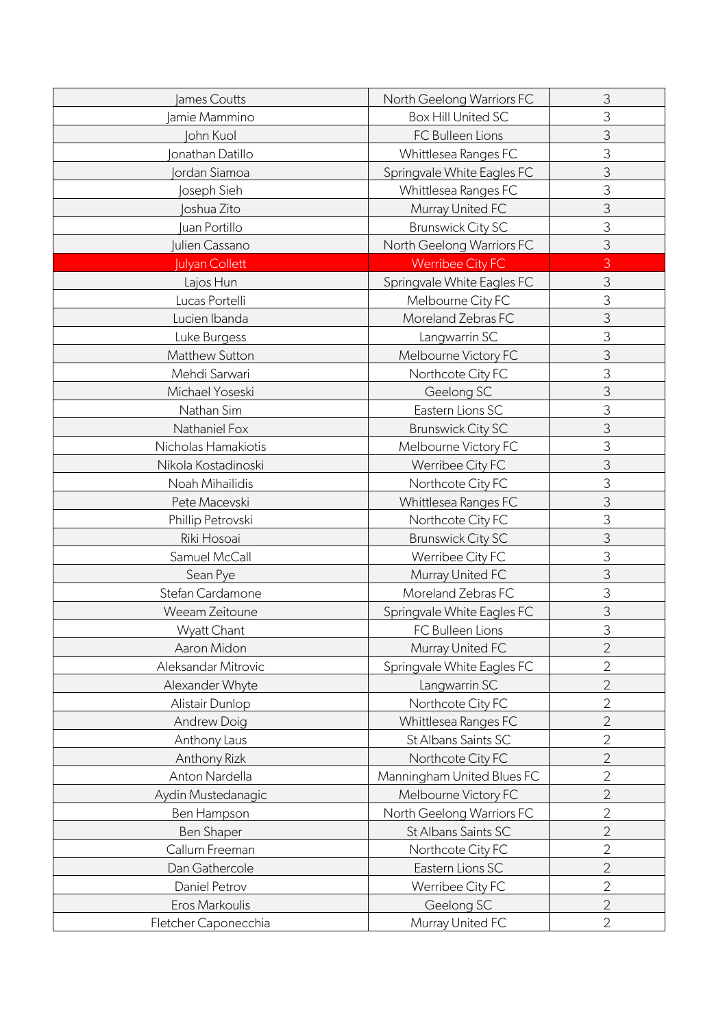| James Coutts         | North Geelong Warriors FC  | 3              |
|----------------------|----------------------------|----------------|
| amie Mammino         | <b>Box Hill United SC</b>  | 3              |
| John Kuol            | FC Bulleen Lions           | 3              |
| onathan Datillo      | Whittlesea Ranges FC       | 3              |
| <b>Jordan Siamoa</b> | Springvale White Eagles FC | 3              |
| oseph Sieh           | Whittlesea Ranges FC       | 3              |
| Joshua Zito          | Murray United FC           | 3              |
| uan Portillo         | <b>Brunswick City SC</b>   | 3              |
| ulien Cassano        | North Geelong Warriors FC  | 3              |
| Julyan Collett       | <b>Werribee City FC</b>    | 3              |
| Lajos Hun            | Springvale White Eagles FC | 3              |
| Lucas Portelli       | Melbourne City FC          | 3              |
| Lucien Ibanda        | Moreland Zebras FC         | 3              |
| Luke Burgess         | Langwarrin SC              | 3              |
| Matthew Sutton       | Melbourne Victory FC       | 3              |
| Mehdi Sarwari        | Northcote City FC          | 3              |
| Michael Yoseski      | Geelong SC                 | 3              |
| Nathan Sim           | Eastern Lions SC           | 3              |
| Nathaniel Fox        | <b>Brunswick City SC</b>   | 3              |
| Nicholas Hamakiotis  | Melbourne Victory FC       | 3              |
| Nikola Kostadinoski  | Werribee City FC           | 3              |
| Noah Mihailidis      | Northcote City FC          | 3              |
| Pete Macevski        | Whittlesea Ranges FC       | 3              |
| Phillip Petrovski    | Northcote City FC          | 3              |
| Riki Hosoai          | <b>Brunswick City SC</b>   | 3              |
| Samuel McCall        | Werribee City FC           | 3              |
| Sean Pye             | Murray United FC           | 3              |
| Stefan Cardamone     | Moreland Zebras FC         | 3              |
| Weeam Zeitoune       | Springvale White Eagles FC | 3              |
| Wyatt Chant          | FC Bulleen Lions           | 3              |
| Aaron Midon          | Murray United FC           | $\overline{2}$ |
| Aleksandar Mitrovic  | Springvale White Eagles FC | $\overline{2}$ |
| Alexander Whyte      | Langwarrin SC              | $\overline{2}$ |
| Alistair Dunlop      | Northcote City FC          | $\overline{2}$ |
| <b>Andrew Doig</b>   | Whittlesea Ranges FC       | $\overline{2}$ |
| Anthony Laus         | St Albans Saints SC        | $\overline{2}$ |
| Anthony Rizk         | Northcote City FC          | $\overline{2}$ |
| Anton Nardella       | Manningham United Blues FC | $\overline{2}$ |
| Aydin Mustedanagic   | Melbourne Victory FC       | $\overline{2}$ |
| Ben Hampson          | North Geelong Warriors FC  | $\overline{2}$ |
| <b>Ben Shaper</b>    | St Albans Saints SC        | $\overline{2}$ |
| Callum Freeman       | Northcote City FC          | $\overline{2}$ |
| Dan Gathercole       | Eastern Lions SC           | $\overline{2}$ |
| Daniel Petrov        | Werribee City FC           | $\overline{2}$ |
| Eros Markoulis       | Geelong SC                 | $\overline{2}$ |
| Fletcher Caponecchia | Murray United FC           | $\mathbf{2}$   |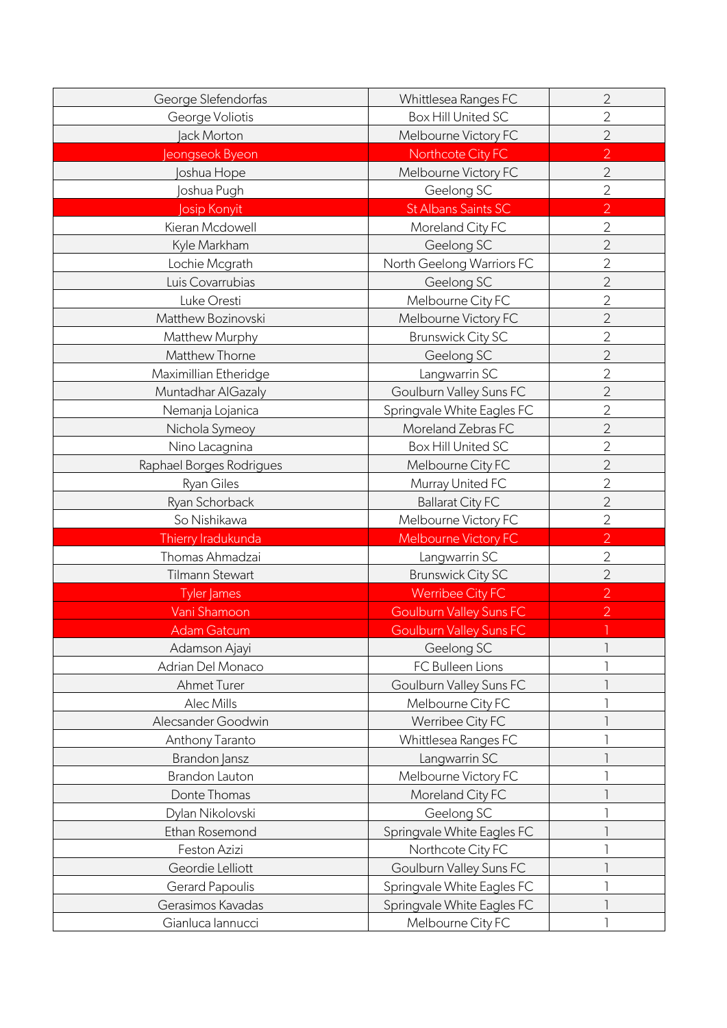| George Slefendorfas      | Whittlesea Ranges FC           | $\overline{2}$ |
|--------------------------|--------------------------------|----------------|
| George Voliotis          | Box Hill United SC             | $\overline{2}$ |
| <b>Jack Morton</b>       | Melbourne Victory FC           | $\overline{2}$ |
| Jeongseok Byeon          | Northcote City FC              | $\overline{2}$ |
| Joshua Hope              | Melbourne Victory FC           | $\overline{2}$ |
| oshua Pugh               | Geelong SC                     | $\overline{2}$ |
| osip Konyit              | <b>St Albans Saints SC</b>     | $\overline{2}$ |
| Kieran Mcdowell          | Moreland City FC               | $\overline{2}$ |
| Kyle Markham             | Geelong SC                     | $\overline{2}$ |
| Lochie Mcgrath           | North Geelong Warriors FC      | $\overline{2}$ |
| Luis Covarrubias         | Geelong SC                     | $\overline{2}$ |
| Luke Oresti              | Melbourne City FC              | $\overline{2}$ |
| Matthew Bozinovski       | Melbourne Victory FC           | $\overline{2}$ |
| Matthew Murphy           | <b>Brunswick City SC</b>       | $\overline{2}$ |
| Matthew Thorne           | Geelong SC                     | $\overline{2}$ |
| Maximillian Etheridge    | Langwarrin SC                  | $\overline{2}$ |
| Muntadhar AlGazaly       | Goulburn Valley Suns FC        | $\overline{2}$ |
| Nemanja Lojanica         | Springvale White Eagles FC     | $\overline{2}$ |
| Nichola Symeoy           | Moreland Zebras FC             | $\overline{2}$ |
| Nino Lacagnina           | Box Hill United SC             | $\overline{2}$ |
| Raphael Borges Rodrigues | Melbourne City FC              | $\overline{2}$ |
| Ryan Giles               | Murray United FC               | $\overline{2}$ |
| Ryan Schorback           | <b>Ballarat City FC</b>        | $\overline{2}$ |
| So Nishikawa             | Melbourne Victory FC           | $\overline{2}$ |
| Thierry Iradukunda       | Melbourne Victory FC           | $\overline{2}$ |
| Thomas Ahmadzai          | Langwarrin SC                  | $\overline{2}$ |
| Tilmann Stewart          | <b>Brunswick City SC</b>       | $\overline{2}$ |
| Tyler James              | <b>Werribee City FC</b>        | $\overline{2}$ |
| Vani Shamoon             | <b>Goulburn Valley Suns FC</b> | $\overline{2}$ |
| <b>Adam Gatcum</b>       | <b>Goulburn Valley Suns FC</b> |                |
| Adamson Ajayi            | Geelong SC                     |                |
| Adrian Del Monaco        | FC Bulleen Lions               |                |
| Ahmet Turer              | Goulburn Valley Suns FC        |                |
| Alec Mills               | Melbourne City FC              |                |
| Alecsander Goodwin       | Werribee City FC               |                |
| Anthony Taranto          | Whittlesea Ranges FC           |                |
| Brandon Jansz            | Langwarrin SC                  |                |
| <b>Brandon Lauton</b>    | Melbourne Victory FC           |                |
| Donte Thomas             | Moreland City FC               |                |
| Dylan Nikolovski         | Geelong SC                     |                |
| Ethan Rosemond           | Springvale White Eagles FC     |                |
| Feston Azizi             | Northcote City FC              |                |
| Geordie Lelliott         | Goulburn Valley Suns FC        |                |
| <b>Gerard Papoulis</b>   | Springvale White Eagles FC     |                |
| Gerasimos Kavadas        | Springvale White Eagles FC     |                |
| Gianluca lannucci        | Melbourne City FC              |                |